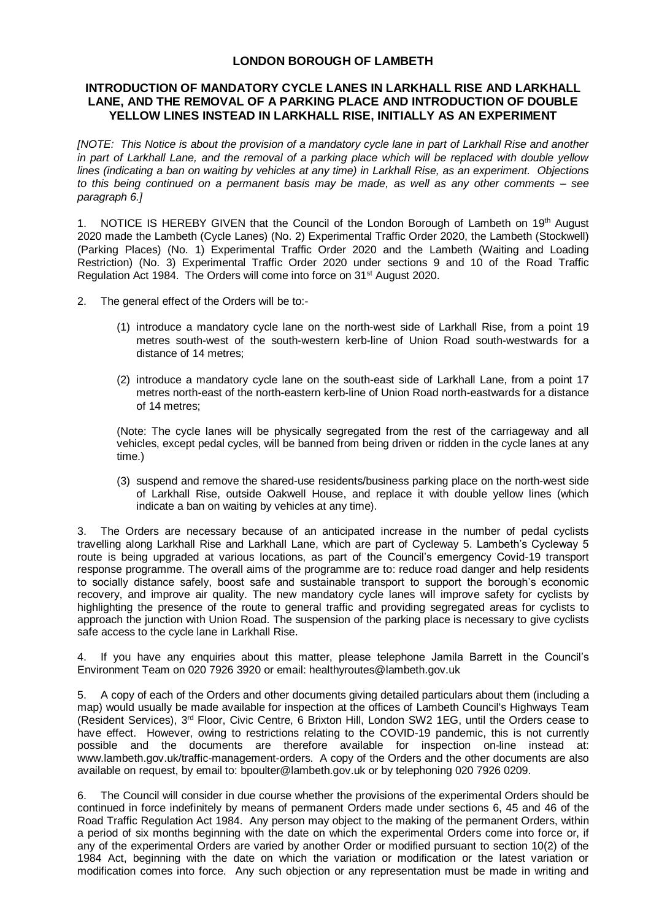## **LONDON BOROUGH OF LAMBETH**

## **INTRODUCTION OF MANDATORY CYCLE LANES IN LARKHALL RISE AND LARKHALL LANE, AND THE REMOVAL OF A PARKING PLACE AND INTRODUCTION OF DOUBLE YELLOW LINES INSTEAD IN LARKHALL RISE, INITIALLY AS AN EXPERIMENT**

*[NOTE: This Notice is about the provision of a mandatory cycle lane in part of Larkhall Rise and another in part of Larkhall Lane, and the removal of a parking place which will be replaced with double yellow lines (indicating a ban on waiting by vehicles at any time) in Larkhall Rise, as an experiment. Objections to this being continued on a permanent basis may be made, as well as any other comments – see paragraph 6.]*

1. NOTICE IS HEREBY GIVEN that the Council of the London Borough of Lambeth on 19th August 2020 made the Lambeth (Cycle Lanes) (No. 2) Experimental Traffic Order 2020, the Lambeth (Stockwell) (Parking Places) (No. 1) Experimental Traffic Order 2020 and the Lambeth (Waiting and Loading Restriction) (No. 3) Experimental Traffic Order 2020 under sections 9 and 10 of the Road Traffic Regulation Act 1984. The Orders will come into force on 31<sup>st</sup> August 2020.

- 2. The general effect of the Orders will be to:-
	- (1) introduce a mandatory cycle lane on the north-west side of Larkhall Rise, from a point 19 metres south-west of the south-western kerb-line of Union Road south-westwards for a distance of 14 metres;
	- (2) introduce a mandatory cycle lane on the south-east side of Larkhall Lane, from a point 17 metres north-east of the north-eastern kerb-line of Union Road north-eastwards for a distance of 14 metres;

(Note: The cycle lanes will be physically segregated from the rest of the carriageway and all vehicles, except pedal cycles, will be banned from being driven or ridden in the cycle lanes at any time.)

(3) suspend and remove the shared-use residents/business parking place on the north-west side of Larkhall Rise, outside Oakwell House, and replace it with double yellow lines (which indicate a ban on waiting by vehicles at any time).

3. The Orders are necessary because of an anticipated increase in the number of pedal cyclists travelling along Larkhall Rise and Larkhall Lane, which are part of Cycleway 5. Lambeth's Cycleway 5 route is being upgraded at various locations, as part of the Council's emergency Covid-19 transport response programme. The overall aims of the programme are to: reduce road danger and help residents to socially distance safely, boost safe and sustainable transport to support the borough's economic recovery, and improve air quality. The new mandatory cycle lanes will improve safety for cyclists by highlighting the presence of the route to general traffic and providing segregated areas for cyclists to approach the junction with Union Road. The suspension of the parking place is necessary to give cyclists safe access to the cycle lane in Larkhall Rise.

4. If you have any enquiries about this matter, please telephone Jamila Barrett in the Council's Environment Team on 020 7926 3920 or email[: healthyroutes@lambeth.gov.uk](mailto:healthyroutes@lambeth.gov.uk)

5. A copy of each of the Orders and other documents giving detailed particulars about them (including a map) would usually be made available for inspection at the offices of Lambeth Council's Highways Team (Resident Services), 3rd Floor, Civic Centre, 6 Brixton Hill, London SW2 1EG, until the Orders cease to have effect. However, owing to restrictions relating to the COVID-19 pandemic, this is not currently possible and the documents are therefore available for inspection on-line instead at: [www.lambeth.gov.uk/traffic-management-orders.](https://eur01.safelinks.protection.outlook.com/?url=http%3A%2F%2Fwww.lambeth.gov.uk%2Ftraffic-management-orders&data=02%7C01%7CHazel.Game%40projectcentre.co.uk%7Cdb2cc4466d98464379e108d8228a177f%7C3734172ae82a4ac7a3d302949970d5e6%7C0%7C0%7C637297323791658621&sdata=%2F9T0mTHJshTJ2XJRn1W8ejKPOCPyu4ImJy8Y%2BVrLotM%3D&reserved=0) A copy of the Orders and the other documents are also available on request, by email to: [bpoulter@lambeth.gov.uk](mailto:bpoulter@lambeth.gov.uk) or by telephoning 020 7926 0209.

6. The Council will consider in due course whether the provisions of the experimental Orders should be continued in force indefinitely by means of permanent Orders made under sections 6, 45 and 46 of the Road Traffic Regulation Act 1984. Any person may object to the making of the permanent Orders, within a period of six months beginning with the date on which the experimental Orders come into force or, if any of the experimental Orders are varied by another Order or modified pursuant to section 10(2) of the 1984 Act, beginning with the date on which the variation or modification or the latest variation or modification comes into force. Any such objection or any representation must be made in writing and